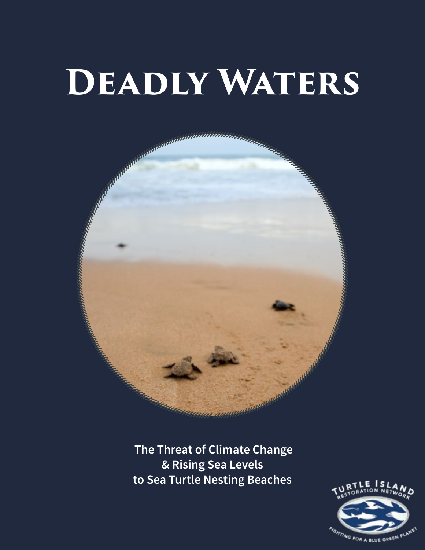# **Deadly Waters**



 **The Threat of Climate Change & Rising Sea Levels to Sea Turtle Nesting Beaches**

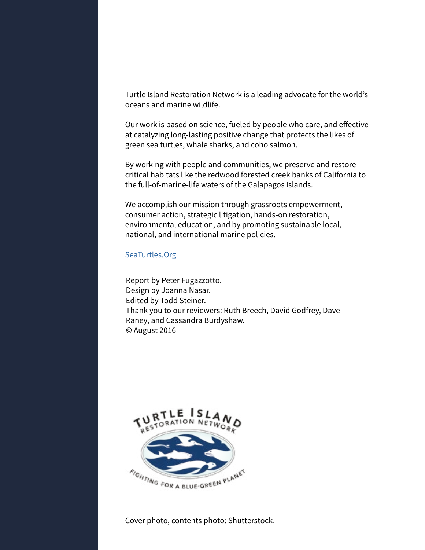Turtle Island Restoration Network is a leading advocate for the world's oceans and marine wildlife.

Our work is based on science, fueled by people who care, and effective at catalyzing long-lasting positive change that protects the likes of green sea turtles, whale sharks, and coho salmon.

By working with people and communities, we preserve and restore critical habitats like the redwood forested creek banks of California to the full-of-marine-life waters of the Galapagos Islands.

We accomplish our mission through grassroots empowerment, consumer action, strategic litigation, hands-on restoration, environmental education, and by promoting sustainable local, national, and international marine policies.

#### [SeaTurtles.Org](http://www.seaturtles.org)

Report by Peter Fugazzotto. Design by Joanna Nasar. Edited by Todd Steiner. Thank you to our reviewers: Ruth Breech, David Godfrey, Dave Raney, and Cassandra Burdyshaw. © August 2016



Cover photo, contents photo: Shutterstock.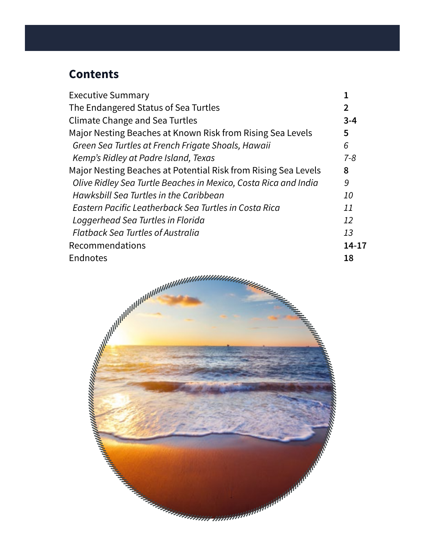# **Contents**

| <b>Executive Summary</b>                                        |         |
|-----------------------------------------------------------------|---------|
| The Endangered Status of Sea Turtles                            |         |
| <b>Climate Change and Sea Turtles</b>                           | $3 - 4$ |
| Major Nesting Beaches at Known Risk from Rising Sea Levels      | 5       |
| Green Sea Turtles at French Frigate Shoals, Hawaii              | 6       |
| Kemp's Ridley at Padre Island, Texas                            | $7 - 8$ |
| Major Nesting Beaches at Potential Risk from Rising Sea Levels  | 8       |
| Olive Ridley Sea Turtle Beaches in Mexico, Costa Rica and India | 9       |
| Hawksbill Sea Turtles in the Caribbean                          | 10      |
| Eastern Pacific Leatherback Sea Turtles in Costa Rica           | 11      |
| Loggerhead Sea Turtles in Florida                               | 12      |
| <b>Flatback Sea Turtles of Australia</b>                        | 13      |
| Recommendations                                                 | 14-17   |
| Endnotes                                                        | 18      |
|                                                                 |         |

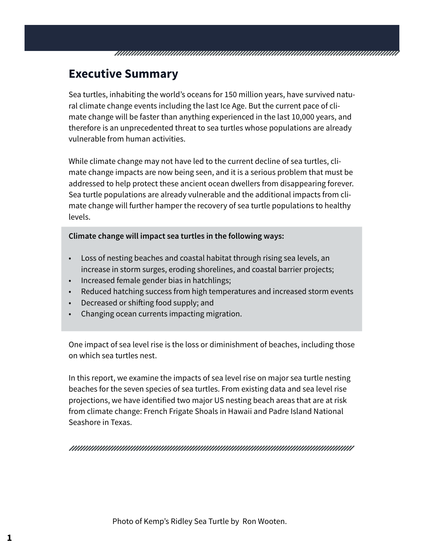### **Executive Summary**

Sea turtles, inhabiting the world's oceans for 150 million years, have survived natural climate change events including the last Ice Age. But the current pace of climate change will be faster than anything experienced in the last 10,000 years, and therefore is an unprecedented threat to sea turtles whose populations are already vulnerable from human activities.

TARI ALAM ANG PANGANGAN ANG PANGANGAN ANG PANGANGAN ANG PANGANGAN ANG PANGANGAN ANG PANGANGAN ANG PANGANGAN AN

While climate change may not have led to the current decline of sea turtles, climate change impacts are now being seen, and it is a serious problem that must be addressed to help protect these ancient ocean dwellers from disappearing forever. Sea turtle populations are already vulnerable and the additional impacts from climate change will further hamper the recovery of sea turtle populations to healthy levels.

#### **Climate change will impact sea turtles in the following ways:**

- Loss of nesting beaches and coastal habitat through rising sea levels, an increase in storm surges, eroding shorelines, and coastal barrier projects;
- Increased female gender bias in hatchlings;
- Reduced hatching success from high temperatures and increased storm events
- Decreased or shifting food supply; and
- Changing ocean currents impacting migration.

One impact of sea level rise is the loss or diminishment of beaches, including those on which sea turtles nest.

In this report, we examine the impacts of sea level rise on major sea turtle nesting beaches for the seven species of sea turtles. From existing data and sea level rise projections, we have identified two major US nesting beach areas that are at risk from climate change: French Frigate Shoals in Hawaii and Padre Island National Seashore in Texas.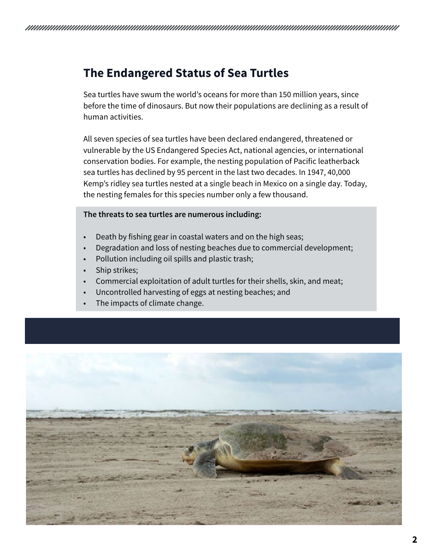## **The Endangered Status of Sea Turtles**

Sea turtles have swum the world's oceans for more than 150 million years, since before the time of dinosaurs. But now their populations are declining as a result of human activities.

All seven species of sea turtles have been declared endangered, threatened or vulnerable by the US Endangered Species Act, national agencies, or international conservation bodies. For example, the nesting population of Pacific leatherback sea turtles has declined by 95 percent in the last two decades. In 1947, 40,000 Kemp's ridley sea turtles nested at a single beach in Mexico on a single day. Today, the nesting females for this species number only a few thousand.

#### **The threats to sea turtles are numerous including:**

- Death by fishing gear in coastal waters and on the high seas;
- Degradation and loss of nesting beaches due to commercial development;
- Pollution including oil spills and plastic trash;
- Ship strikes;
- Commercial exploitation of adult turtles for their shells, skin, and meat;
- Uncontrolled harvesting of eggs at nesting beaches; and
- The impacts of climate change.

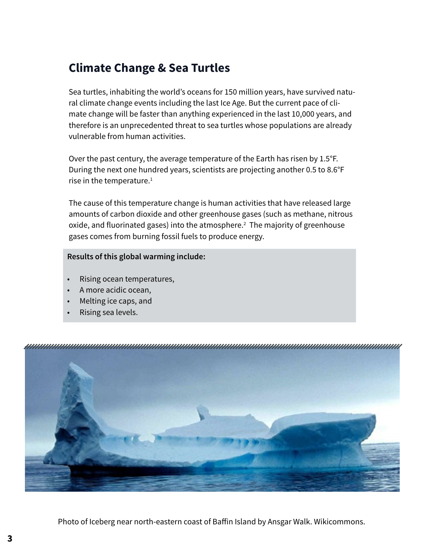# **Climate Change & Sea Turtles**

Sea turtles, inhabiting the world's oceans for 150 million years, have survived natural climate change events including the last Ice Age. But the current pace of climate change will be faster than anything experienced in the last 10,000 years, and therefore is an unprecedented threat to sea turtles whose populations are already vulnerable from human activities.

Over the past century, the average temperature of the Earth has risen by 1.5°F. During the next one hundred years, scientists are projecting another 0.5 to 8.6°F rise in the temperature. $1$ 

The cause of this temperature change is human activities that have released large amounts of carbon dioxide and other greenhouse gases (such as methane, nitrous oxide, and fluorinated gases) into the atmosphere.<sup>2</sup> The majority of greenhouse gases comes from burning fossil fuels to produce energy.

**Results of this global warming include:** 

- Rising ocean temperatures,
- A more acidic ocean,
- Melting ice caps, and
- Rising sea levels.



Photo of Iceberg near north-eastern coast of Baffin Island by Ansgar Walk. Wikicommons.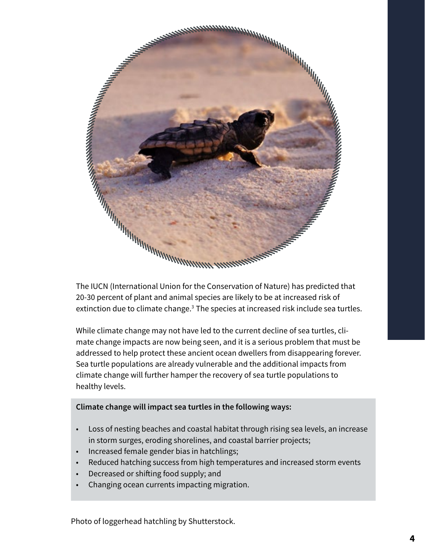

20-30 percent of plant and animal species are likely to be at increased risk of extinction due to climate change.<sup>3</sup> The species at increased risk include sea turtles.

While climate change may not have led to the current decline of sea turtles, climate change impacts are now being seen, and it is a serious problem that must be addressed to help protect these ancient ocean dwellers from disappearing forever. Sea turtle populations are already vulnerable and the additional impacts from climate change will further hamper the recovery of sea turtle populations to healthy levels.

### **Climate change will impact sea turtles in the following ways:**

- Loss of nesting beaches and coastal habitat through rising sea levels, an increase in storm surges, eroding shorelines, and coastal barrier projects;
- Increased female gender bias in hatchlings;
- Reduced hatching success from high temperatures and increased storm events
- Decreased or shifting food supply; and
- Changing ocean currents impacting migration.

Photo of loggerhead hatchling by Shutterstock.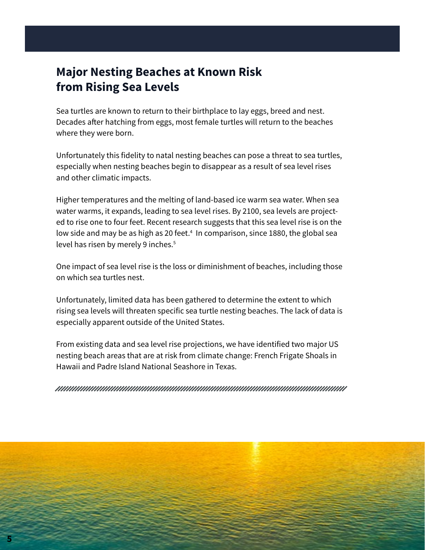## **Major Nesting Beaches at Known Risk from Rising Sea Levels**

Sea turtles are known to return to their birthplace to lay eggs, breed and nest. Decades after hatching from eggs, most female turtles will return to the beaches where they were born.

Unfortunately this fidelity to natal nesting beaches can pose a threat to sea turtles, especially when nesting beaches begin to disappear as a result of sea level rises and other climatic impacts.

Higher temperatures and the melting of land-based ice warm sea water. When sea water warms, it expands, leading to sea level rises. By 2100, sea levels are projected to rise one to four feet. Recent research suggests that this sea level rise is on the low side and may be as high as 20 feet.4 In comparison, since 1880, the global sea level has risen by merely 9 inches.<sup>5</sup>

One impact of sea level rise is the loss or diminishment of beaches, including those on which sea turtles nest.

Unfortunately, limited data has been gathered to determine the extent to which rising sea levels will threaten specific sea turtle nesting beaches. The lack of data is especially apparent outside of the United States.

From existing data and sea level rise projections, we have identified two major US nesting beach areas that are at risk from climate change: French Frigate Shoals in Hawaii and Padre Island National Seashore in Texas.

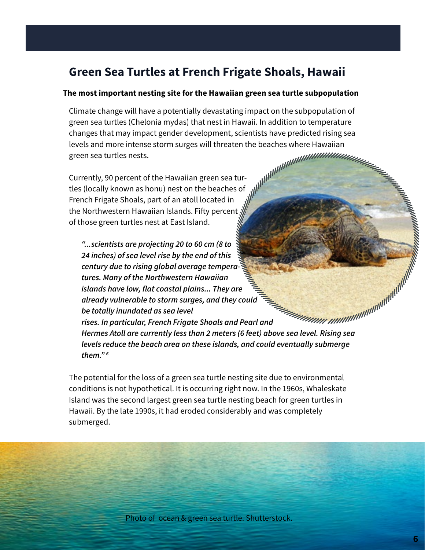### **Green Sea Turtles at French Frigate Shoals, Hawaii**

#### **The most important nesting site for the Hawaiian green sea turtle subpopulation**

Climate change will have a potentially devastating impact on the subpopulation of green sea turtles (Chelonia mydas) that nest in Hawaii. In addition to temperature changes that may impact gender development, scientists have predicted rising sea levels and more intense storm surges will threaten the beaches where Hawaiian green sea turtles nests.

Currently, 90 percent of the Hawaiian green sea turtles (locally known as honu) nest on the beaches of French Frigate Shoals, part of an atoll located in the Northwestern Hawaiian Islands. Fifty percent of those green turtles nest at East Island.

*"...scientists are projecting 20 to 60 cm (8 to 24 inches) of sea level rise by the end of this century due to rising global average temperatures. Many of the Northwestern Hawaiian islands have low, flat coastal plains... They are already vulnerable to storm surges, and they could be totally inundated as sea level rises. In particular, French Frigate Shoals and Pearl and Hermes Atoll are currently less than 2 meters (6 feet) above sea level.*<br>*Hermes Atoll are currently less than 2 meters (6 feet) above sea level. Rising sea levels reduce the beach area on these islands levels reduce the beach area on these islands, and could eventually submerge them." 6*

The potential for the loss of a green sea turtle nesting site due to environmental conditions is not hypothetical. It is occurring right now. In the 1960s, Whaleskate Island was the second largest green sea turtle nesting beach for green turtles in Hawaii. By the late 1990s, it had eroded considerably and was completely submerged.

Photo of ocean & green sea turtle. Shutterstock.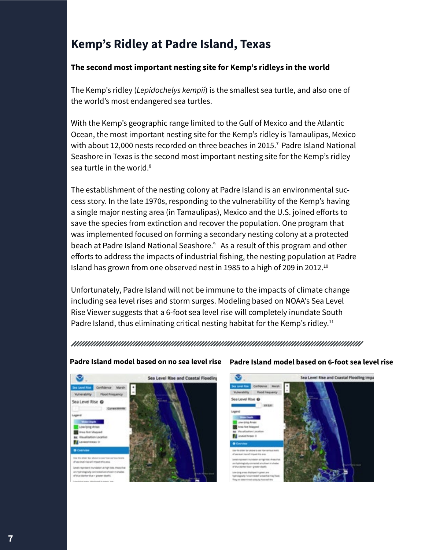# **Kemp's Ridley at Padre Island, Texas**

### **The second most important nesting site for Kemp's ridleys in the world**

The Kemp's ridley (*Lepidochelys kempii*) is the smallest sea turtle, and also one of the world's most endangered sea turtles.

With the Kemp's geographic range limited to the Gulf of Mexico and the Atlantic Ocean, the most important nesting site for the Kemp's ridley is Tamaulipas, Mexico with about 12,000 nests recorded on three beaches in 2015.<sup>7</sup> Padre Island National Seashore in Texas is the second most important nesting site for the Kemp's ridley sea turtle in the world  $8$ 

The establishment of the nesting colony at Padre Island is an environmental success story. In the late 1970s, responding to the vulnerability of the Kemp's having a single major nesting area (in Tamaulipas), Mexico and the U.S. joined efforts to save the species from extinction and recover the population. One program that was implemented focused on forming a secondary nesting colony at a protected beach at Padre Island National Seashore.<sup>9</sup> As a result of this program and other efforts to address the impacts of industrial fishing, the nesting population at Padre Island has grown from one observed nest in 1985 to a high of 209 in 2012.<sup>10</sup>

Unfortunately, Padre Island will not be immune to the impacts of climate change including sea level rises and storm surges. Modeling based on NOAA's Sea Level Rise Viewer suggests that a 6-foot sea level rise will completely inundate South Padre Island, thus eliminating critical nesting habitat for the Kemp's ridley.<sup>11</sup>

#### 



#### **Padre Island model based on no sea level rise Padre Island model based on 6-foot sea level rise**

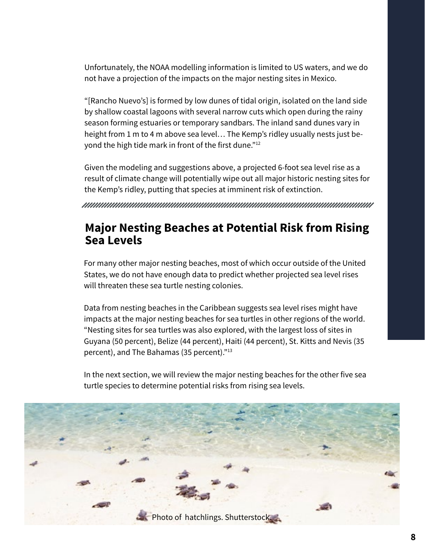Unfortunately, the NOAA modelling information is limited to US waters, and we do not have a projection of the impacts on the major nesting sites in Mexico.

"[Rancho Nuevo's] is formed by low dunes of tidal origin, isolated on the land side by shallow coastal lagoons with several narrow cuts which open during the rainy season forming estuaries or temporary sandbars. The inland sand dunes vary in height from 1 m to 4 m above sea level… The Kemp's ridley usually nests just beyond the high tide mark in front of the first dune."12

Given the modeling and suggestions above, a projected 6-foot sea level rise as a result of climate change will potentially wipe out all major historic nesting sites for the Kemp's ridley, putting that species at imminent risk of extinction.

### **Major Nesting Beaches at Potential Risk from Rising Sea Levels**

For many other major nesting beaches, most of which occur outside of the United States, we do not have enough data to predict whether projected sea level rises will threaten these sea turtle nesting colonies.

Data from nesting beaches in the Caribbean suggests sea level rises might have impacts at the major nesting beaches for sea turtles in other regions of the world. "Nesting sites for sea turtles was also explored, with the largest loss of sites in Guyana (50 percent), Belize (44 percent), Haiti (44 percent), St. Kitts and Nevis (35 percent), and The Bahamas (35 percent)."13

In the next section, we will review the major nesting beaches for the other five sea turtle species to determine potential risks from rising sea levels.

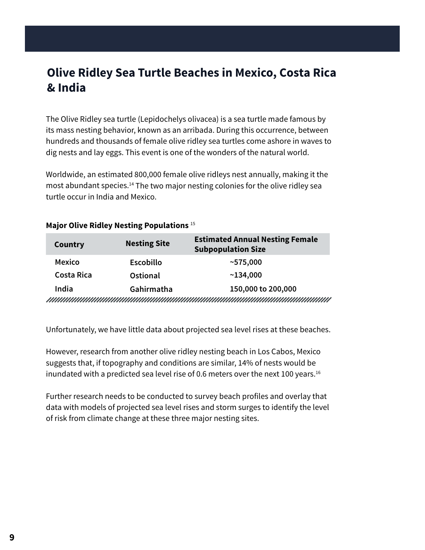# **Olive Ridley Sea Turtle Beaches in Mexico, Costa Rica & India**

The Olive Ridley sea turtle (Lepidochelys olivacea) is a sea turtle made famous by its mass nesting behavior, known as an arribada. During this occurrence, between hundreds and thousands of female olive ridley sea turtles come ashore in waves to dig nests and lay eggs. This event is one of the wonders of the natural world.

Worldwide, an estimated 800,000 female olive ridleys nest annually, making it the most abundant species.<sup>14</sup> The two major nesting colonies for the olive ridley sea turtle occur in India and Mexico.

| Country           | <b>Nesting Site</b> | <b>Estimated Annual Nesting Female</b><br><b>Subpopulation Size</b>                                                 |
|-------------------|---------------------|---------------------------------------------------------------------------------------------------------------------|
| <b>Mexico</b>     | <b>Escobillo</b>    | ~575,000                                                                                                            |
| <b>Costa Rica</b> | <b>Ostional</b>     | ~134,000                                                                                                            |
| India             | Gahirmatha          | 150,000 to 200,000                                                                                                  |
|                   |                     | <u>TERRITTI INITIO INTERNATIONALI INTERNATIONALI INDIVIDINALI INITIO IN INITIO IN INITIO IN INITIO IN INITIO IN</u> |

### **Major Olive Ridley Nesting Populations** <sup>15</sup>

Unfortunately, we have little data about projected sea level rises at these beaches.

However, research from another olive ridley nesting beach in Los Cabos, Mexico suggests that, if topography and conditions are similar, 14% of nests would be inundated with a predicted sea level rise of 0.6 meters over the next 100 years.<sup>16</sup>

Further research needs to be conducted to survey beach profiles and overlay that data with models of projected sea level rises and storm surges to identify the level of risk from climate change at these three major nesting sites.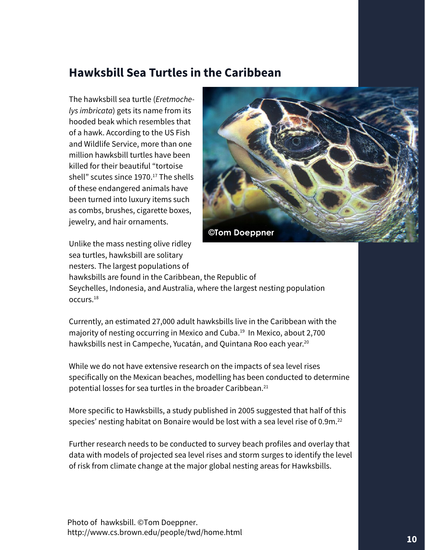### **Hawksbill Sea Turtles in the Caribbean**

The hawksbill sea turtle (*Eretmochelys imbricata*) gets its name from its hooded beak which resembles that of a hawk. According to the US Fish and Wildlife Service, more than one million hawksbill turtles have been killed for their beautiful "tortoise shell" scutes since 1970.<sup>17</sup> The shells of these endangered animals have been turned into luxury items such as combs, brushes, cigarette boxes, jewelry, and hair ornaments.



Unlike the mass nesting olive ridley sea turtles, hawksbill are solitary nesters. The largest populations of

hawksbills are found in the Caribbean, the Republic of Seychelles, Indonesia, and Australia, where the largest nesting population occurs.18

Currently, an estimated 27,000 adult hawksbills live in the Caribbean with the majority of nesting occurring in Mexico and Cuba.<sup>19</sup> In Mexico, about 2,700 hawksbills nest in Campeche, Yucatán, and Quintana Roo each year.<sup>20</sup>

While we do not have extensive research on the impacts of sea level rises specifically on the Mexican beaches, modelling has been conducted to determine potential losses for sea turtles in the broader Caribbean.21

More specific to Hawksbills, a study published in 2005 suggested that half of this species' nesting habitat on Bonaire would be lost with a sea level rise of 0.9m.<sup>22</sup>

Further research needs to be conducted to survey beach profiles and overlay that data with models of projected sea level rises and storm surges to identify the level of risk from climate change at the major global nesting areas for Hawksbills.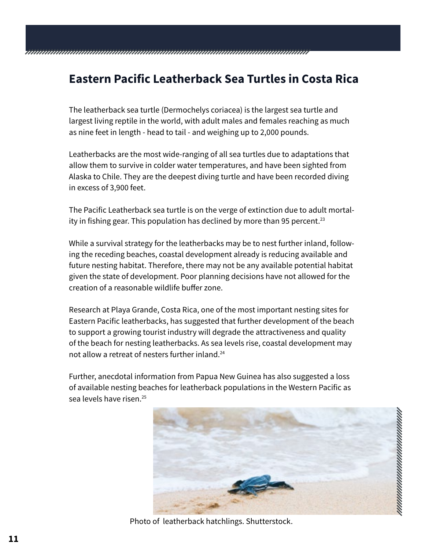# **Eastern Pacific Leatherback Sea Turtles in Costa Rica**

The leatherback sea turtle (Dermochelys coriacea) is the largest sea turtle and largest living reptile in the world, with adult males and females reaching as much as nine feet in length - head to tail - and weighing up to 2,000 pounds.

Leatherbacks are the most wide-ranging of all sea turtles due to adaptations that allow them to survive in colder water temperatures, and have been sighted from Alaska to Chile. They are the deepest diving turtle and have been recorded diving in excess of 3,900 feet.

The Pacific Leatherback sea turtle is on the verge of extinction due to adult mortality in fishing gear. This population has declined by more than 95 percent.<sup>23</sup>

While a survival strategy for the leatherbacks may be to nest further inland, following the receding beaches, coastal development already is reducing available and future nesting habitat. Therefore, there may not be any available potential habitat given the state of development. Poor planning decisions have not allowed for the creation of a reasonable wildlife buffer zone.

Research at Playa Grande, Costa Rica, one of the most important nesting sites for Eastern Pacific leatherbacks, has suggested that further development of the beach to support a growing tourist industry will degrade the attractiveness and quality of the beach for nesting leatherbacks. As sea levels rise, coastal development may not allow a retreat of nesters further inland.24

Further, anecdotal information from Papua New Guinea has also suggested a loss of available nesting beaches for leatherback populations in the Western Pacific as sea levels have risen.25



Photo of leatherback hatchlings. Shutterstock.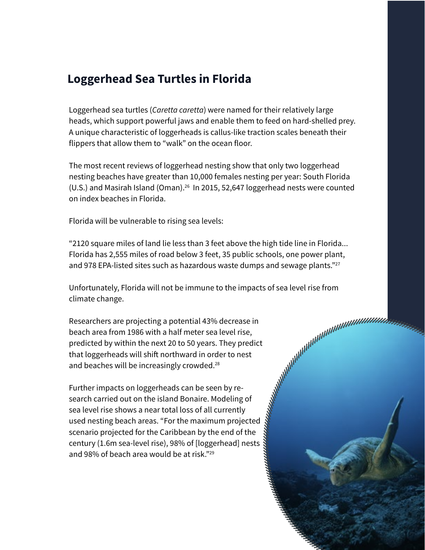## **Loggerhead Sea Turtles in Florida**

Loggerhead sea turtles (*Caretta caretta*) were named for their relatively large heads, which support powerful jaws and enable them to feed on hard-shelled prey. A unique characteristic of loggerheads is callus-like traction scales beneath their flippers that allow them to "walk" on the ocean floor.

The most recent reviews of loggerhead nesting show that only two loggerhead nesting beaches have greater than 10,000 females nesting per year: South Florida (U.S.) and Masirah Island (Oman).<sup>26</sup> In 2015, 52,647 loggerhead nests were counted on index beaches in Florida.

Florida will be vulnerable to rising sea levels:

"2120 square miles of land lie less than 3 feet above the high tide line in Florida... Florida has 2,555 miles of road below 3 feet, 35 public schools, one power plant, and 978 EPA-listed sites such as hazardous waste dumps and sewage plants."<sup>27</sup>

climate change.

Unfortunately, Florida will not be immune to the impacts of sea level rise from<br>climate change.<br>
Researchers are projecting a potential 43% decrease in<br>
beach area from 1986 with a half meter sea level rise,<br>
predicted by Researchers are projecting a potential 43% decrease in beach area from 1986 with a half meter sea level rise, predicted by within the next 20 to 50 years. They predict that loggerheads will shift northward in order to nest and beaches will be increasingly crowded.<sup>28</sup>

Further impacts on loggerheads can be seen by research carried out on the island Bonaire. Modeling of sea level rise shows a near total loss of all currently used nesting beach areas. "For the maximum projected scenario projected for the Caribbean by the end of the century (1.6m sea-level rise), 98% of [loggerhead] nests and 98% of beach area would be at risk."29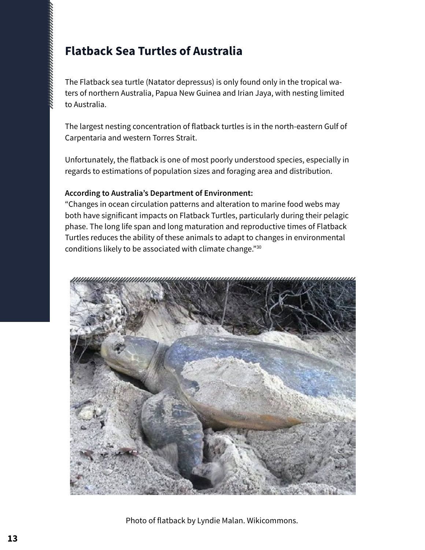# **Flatback Sea Turtles of Australia**

naanaanaanaanaanaanaanaa

The Flatback sea turtle (Natator depressus) is only found only in the tropical waters of northern Australia, Papua New Guinea and Irian Jaya, with nesting limited to Australia.

The largest nesting concentration of flatback turtles is in the north-eastern Gulf of Carpentaria and western Torres Strait.

Unfortunately, the flatback is one of most poorly understood species, especially in regards to estimations of population sizes and foraging area and distribution.

### **According to Australia's Department of Environment:**

"Changes in ocean circulation patterns and alteration to marine food webs may both have significant impacts on Flatback Turtles, particularly during their pelagic phase. The long life span and long maturation and reproductive times of Flatback Turtles reduces the ability of these animals to adapt to changes in environmental conditions likely to be associated with climate change."30



Photo of flatback by Lyndie Malan. Wikicommons.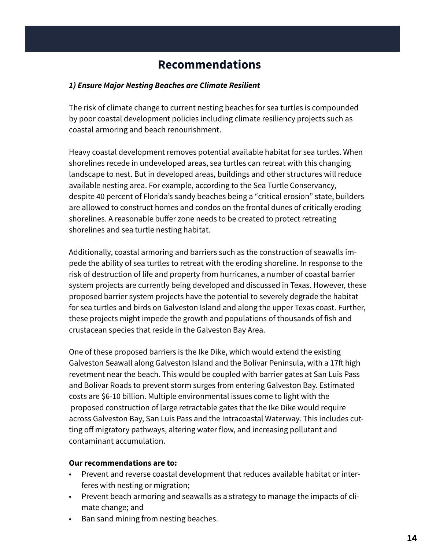## **Recommendations**

### *1) Ensure Major Nesting Beaches are Climate Resilient*

The risk of climate change to current nesting beaches for sea turtles is compounded by poor coastal development policies including climate resiliency projects such as coastal armoring and beach renourishment.

Heavy coastal development removes potential available habitat for sea turtles. When shorelines recede in undeveloped areas, sea turtles can retreat with this changing landscape to nest. But in developed areas, buildings and other structures will reduce available nesting area. For example, according to the Sea Turtle Conservancy, despite 40 percent of Florida's sandy beaches being a "critical erosion" state, builders are allowed to construct homes and condos on the frontal dunes of critically eroding shorelines. A reasonable buffer zone needs to be created to protect retreating shorelines and sea turtle nesting habitat.

Additionally, coastal armoring and barriers such as the construction of seawalls impede the ability of sea turtles to retreat with the eroding shoreline. In response to the risk of destruction of life and property from hurricanes, a number of coastal barrier system projects are currently being developed and discussed in Texas. However, these proposed barrier system projects have the potential to severely degrade the habitat for sea turtles and birds on Galveston Island and along the upper Texas coast. Further, these projects might impede the growth and populations of thousands of fish and crustacean species that reside in the Galveston Bay Area.

One of these proposed barriers is the Ike Dike, which would extend the existing Galveston Seawall along Galveston Island and the Bolivar Peninsula, with a 17ft high revetment near the beach. This would be coupled with barrier gates at San Luis Pass and Bolivar Roads to prevent storm surges from entering Galveston Bay. Estimated costs are \$6-10 billion. Multiple environmental issues come to light with the proposed construction of large retractable gates that the Ike Dike would require across Galveston Bay, San Luis Pass and the Intracoastal Waterway. This includes cutting off migratory pathways, altering water flow, and increasing pollutant and contaminant accumulation.

### **Our recommendations are to:**

- Prevent and reverse coastal development that reduces available habitat or interferes with nesting or migration;
- Prevent beach armoring and seawalls as a strategy to manage the impacts of climate change; and
- Ban sand mining from nesting beaches.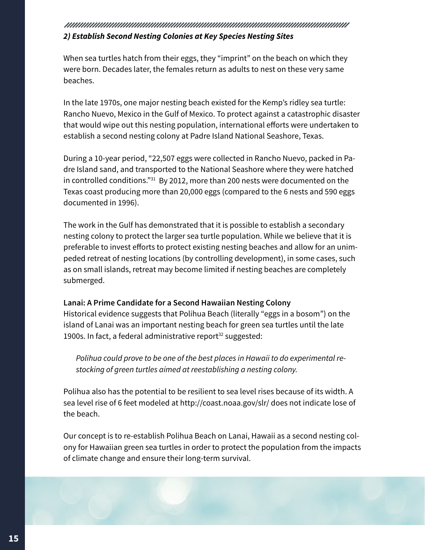### *2) Establish Second Nesting Colonies at Key Species Nesting Sites*

When sea turtles hatch from their eggs, they "imprint" on the beach on which they were born. Decades later, the females return as adults to nest on these very same beaches.

In the late 1970s, one major nesting beach existed for the Kemp's ridley sea turtle: Rancho Nuevo, Mexico in the Gulf of Mexico. To protect against a catastrophic disaster that would wipe out this nesting population, international efforts were undertaken to establish a second nesting colony at Padre Island National Seashore, Texas.

During a 10-year period, "22,507 eggs were collected in Rancho Nuevo, packed in Padre Island sand, and transported to the National Seashore where they were hatched in controlled conditions."31 By 2012, more than 200 nests were documented on the Texas coast producing more than 20,000 eggs (compared to the 6 nests and 590 eggs documented in 1996).

The work in the Gulf has demonstrated that it is possible to establish a secondary nesting colony to protect the larger sea turtle population. While we believe that it is preferable to invest efforts to protect existing nesting beaches and allow for an unimpeded retreat of nesting locations (by controlling development), in some cases, such as on small islands, retreat may become limited if nesting beaches are completely submerged.

### **Lanai: A Prime Candidate for a Second Hawaiian Nesting Colony**

Historical evidence suggests that Polihua Beach (literally "eggs in a bosom") on the island of Lanai was an important nesting beach for green sea turtles until the late 1900s. In fact, a federal administrative report $32$  suggested:

*Polihua could prove to be one of the best places in Hawaii to do experimental restocking of green turtles aimed at reestablishing a nesting colony.*

Polihua also has the potential to be resilient to sea level rises because of its width. A sea level rise of 6 feet modeled at http://coast.noaa.gov/slr/ does not indicate lose of the beach.

Our concept is to re-establish Polihua Beach on Lanai, Hawaii as a second nesting colony for Hawaiian green sea turtles in order to protect the population from the impacts of climate change and ensure their long-term survival.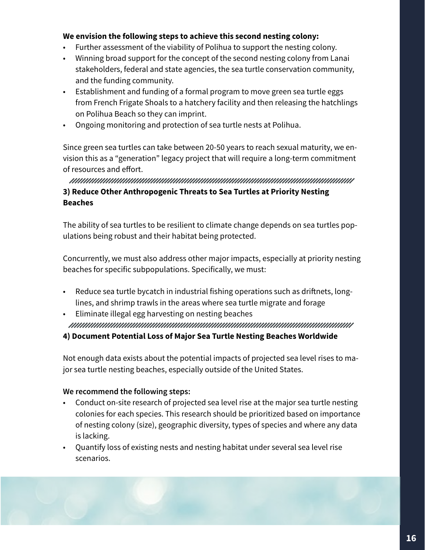### **We envision the following steps to achieve this second nesting colony:**

- Further assessment of the viability of Polihua to support the nesting colony.
- Winning broad support for the concept of the second nesting colony from Lanai stakeholders, federal and state agencies, the sea turtle conservation community, and the funding community.
- Establishment and funding of a formal program to move green sea turtle eggs from French Frigate Shoals to a hatchery facility and then releasing the hatchlings on Polihua Beach so they can imprint.
- Ongoing monitoring and protection of sea turtle nests at Polihua.

Since green sea turtles can take between 20-50 years to reach sexual maturity, we envision this as a "generation" legacy project that will require a long-term commitment of resources and effort.

### **3) Reduce Other Anthropogenic Threats to Sea Turtles at Priority Nesting Beaches**

The ability of sea turtles to be resilient to climate change depends on sea turtles populations being robust and their habitat being protected.

Concurrently, we must also address other major impacts, especially at priority nesting beaches for specific subpopulations. Specifically, we must:

- Reduce sea turtle bycatch in industrial fishing operations such as driftnets, longlines, and shrimp trawls in the areas where sea turtle migrate and forage
- Eliminate illegal egg harvesting on nesting beaches www.manumumumumumumumumumumumumumumumumu

### **4) Document Potential Loss of Major Sea Turtle Nesting Beaches Worldwide**

Not enough data exists about the potential impacts of projected sea level rises to major sea turtle nesting beaches, especially outside of the United States.

### **We recommend the following steps:**

- Conduct on-site research of projected sea level rise at the major sea turtle nesting colonies for each species. This research should be prioritized based on importance of nesting colony (size), geographic diversity, types of species and where any data is lacking.
- Quantify loss of existing nests and nesting habitat under several sea level rise scenarios.

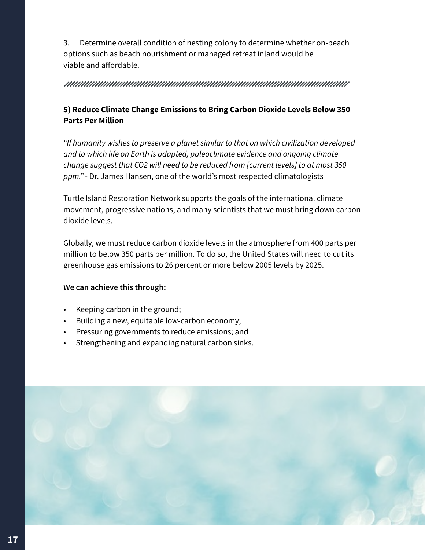3. Determine overall condition of nesting colony to determine whether on-beach options such as beach nourishment or managed retreat inland would be viable and affordable.

#### 

### **5) Reduce Climate Change Emissions to Bring Carbon Dioxide Levels Below 350 Parts Per Million**

*"If humanity wishes to preserve a planet similar to that on which civilization developed and to which life on Earth is adapted, paleoclimate evidence and ongoing climate change suggest that CO2 will need to be reduced from [current levels] to at most 350 ppm."* - Dr. James Hansen, one of the world's most respected climatologists

Turtle Island Restoration Network supports the goals of the international climate movement, progressive nations, and many scientists that we must bring down carbon dioxide levels.

Globally, we must reduce carbon dioxide levels in the atmosphere from 400 parts per million to below 350 parts per million. To do so, the United States will need to cut its greenhouse gas emissions to 26 percent or more below 2005 levels by 2025.

### **We can achieve this through:**

- Keeping carbon in the ground;
- Building a new, equitable low-carbon economy;
- Pressuring governments to reduce emissions; and
- Strengthening and expanding natural carbon sinks.

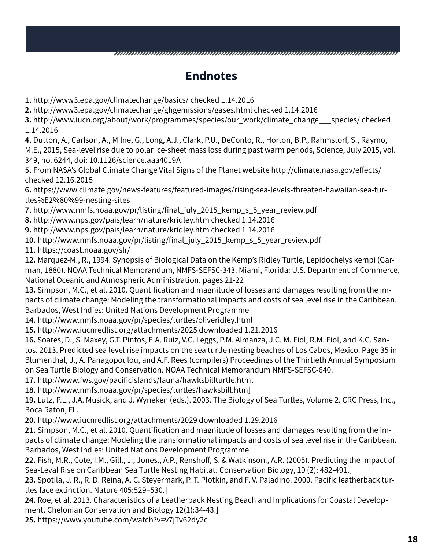# **Endnotes**

**1.** http://www3.epa.gov/climatechange/basics/ checked 1.14.2016

**2.** http://www3.epa.gov/climatechange/ghgemissions/gases.html checked 1.14.2016

**3.** http://www.iucn.org/about/work/programmes/species/our\_work/climate\_change\_\_\_species/ checked 1.14.2016

**4.** Dutton, A., Carlson, A., Milne, G., Long, A.J., Clark, P.U., DeConto, R., Horton, B.P., Rahmstorf, S., Raymo, M.E., 2015, Sea-level rise due to polar ice-sheet mass loss during past warm periods, Science, July 2015, vol. 349, no. 6244, doi: 10.1126/science.aaa4019A

**5.** From NASA's Global Climate Change Vital Signs of the Planet website http://climate.nasa.gov/effects/ checked 12.16.2015

**6.** https://www.climate.gov/news-features/featured-images/rising-sea-levels-threaten-hawaiian-sea-turtles%E2%80%99-nesting-sites

**7.** http://www.nmfs.noaa.gov/pr/listing/final\_july\_2015\_kemp\_s\_5\_year\_review.pdf

**8.** http://www.nps.gov/pais/learn/nature/kridley.htm checked 1.14.2016

**9.** http://www.nps.gov/pais/learn/nature/kridley.htm checked 1.14.2016

**10.** http://www.nmfs.noaa.gov/pr/listing/final\_july\_2015\_kemp\_s\_5\_year\_review.pdf

**11.** https://coast.noaa.gov/slr/

**12.** Marquez-M., R., 1994. Synopsis of Biological Data on the Kemp's Ridley Turtle, Lepidochelys kempi (Garman, 1880). NOAA Technical Memorandum, NMFS-SEFSC-343. Miami, Florida: U.S. Department of Commerce, National Oceanic and Atmospheric Administration. pages 21-22

**13.** Simpson, M.C., et al. 2010. Quantification and magnitude of losses and damages resulting from the impacts of climate change: Modeling the transformational impacts and costs of sea level rise in the Caribbean. Barbados, West Indies: United Nations Development Programme

**14.** http://www.nmfs.noaa.gov/pr/species/turtles/oliveridley.html

**15.** http://www.iucnredlist.org/attachments/2025 downloaded 1.21.2016

**16.** Soares, D., S. Maxey, G.T. Pintos, E.A. Ruiz, V.C. Leggs, P.M. Almanza, J.C. M. Fiol, R.M. Fiol, and K.C. Santos. 2013. Predicted sea level rise impacts on the sea turtle nesting beaches of Los Cabos, Mexico. Page 35 in Blumenthal, J., A. Panagopoulou, and A.F. Rees (compilers) Proceedings of the Thirtieth Annual Symposium on Sea Turtle Biology and Conservation. NOAA Technical Memorandum NMFS-SEFSC-640.

**17.** http://www.fws.gov/pacificislands/fauna/hawksbillturtle.html

**18.** http://www.nmfs.noaa.gov/pr/species/turtles/hawksbill.htm]

**19.** Lutz, P.L., J.A. Musick, and J. Wyneken (eds.). 2003. The Biology of Sea Turtles, Volume 2. CRC Press, Inc., Boca Raton, FL.

**20.** http://www.iucnredlist.org/attachments/2029 downloaded 1.29.2016

**21.** Simpson, M.C., et al. 2010. Quantification and magnitude of losses and damages resulting from the impacts of climate change: Modeling the transformational impacts and costs of sea level rise in the Caribbean. Barbados, West Indies: United Nations Development Programme

**22.** Fish, M.R., Cote, I.M., Gill., J., Jones., A.P., Renshoff, S. & Watkinson., A.R. (2005). Predicting the Impact of Sea-Leval Rise on Caribbean Sea Turtle Nesting Habitat. Conservation Biology, 19 (2): 482-491.]

**23.** Spotila, J. R., R. D. Reina, A. C. Steyermark, P. T. Plotkin, and F. V. Paladino. 2000. Pacific leatherback turtles face extinction. Nature 405:529–530.]

**24.** Roe, et al. 2013. Characteristics of a Leatherback Nesting Beach and Implications for Coastal Development. Chelonian Conservation and Biology 12(1):34-43.]

**25.** https://www.youtube.com/watch?v=v7jTv62dy2c